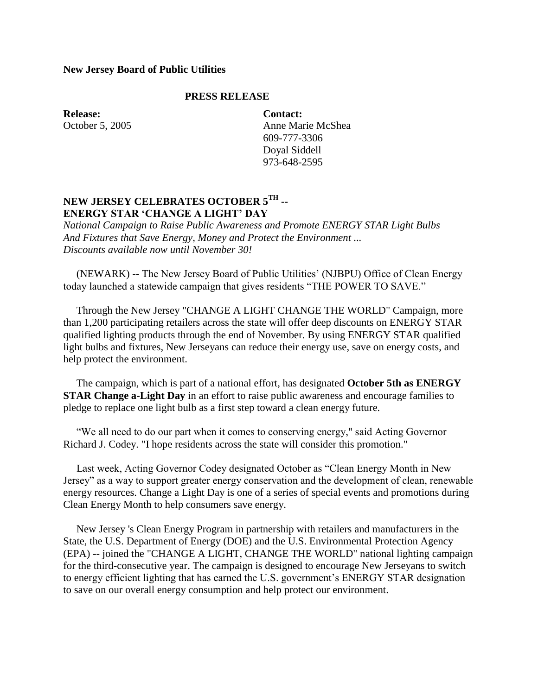## **New Jersey Board of Public Utilities**

## **PRESS RELEASE**

**Release:** October 5, 2005 **Contact:** Anne Marie McShea 609-777-3306 Doyal Siddell 973-648-2595

## **NEW JERSEY CELEBRATES OCTOBER 5[TH](http://ww2.njcleanenergy.com/files/file/NJ_Cal_campaign.pdf) -- ENERGY STAR 'CHANGE A LIGHT' DAY**

*National Campaign to Raise Public Awareness and Promote ENERGY STAR Light Bulbs And Fixtures that Save Energy, Money and Protect the Environment ... Discounts available now until November 30!*

 (NEWARK) -- The New Jersey Board of Public Utilities' (NJBPU) Office of Clean Energy today launched a statewide campaign that gives residents "THE POWER TO SAVE."

 Through the New Jersey "CHANGE A LIGHT CHANGE THE WORLD" Campaign, more than 1,200 participating retailers across the state will offer deep discounts on ENERGY STAR qualified lighting products through the end of November. By using ENERGY STAR qualified light bulbs and fixtures, New Jerseyans can reduce their energy use, save on energy costs, and help protect the environment.

 The campaign, which is part of a national effort, has designated **October 5th as ENERGY STAR Change a-Light Day** in an effort to raise public awareness and encourage families to pledge to replace one light bulb as a first step toward a clean energy future.

 "We all need to do our part when it comes to conserving energy," said Acting Governor Richard J. Codey. "I hope residents across the state will consider this promotion."

 Last week, Acting Governor Codey designated October as "Clean Energy Month in New Jersey" as a way to support greater energy conservation and the development of clean, renewable energy resources. Change a Light Day is one of a series of special events and promotions during Clean Energy Month to help consumers save energy.

 New Jersey 's Clean Energy Program in partnership with retailers and manufacturers in the State, the U.S. Department of Energy (DOE) and the U.S. Environmental Protection Agency (EPA) -- joined the "CHANGE A LIGHT, CHANGE THE WORLD" national lighting campaign for the third-consecutive year. The campaign is designed to encourage New Jerseyans to switch to energy efficient lighting that has earned the U.S. government's ENERGY STAR designation to save on our overall energy consumption and help protect our environment.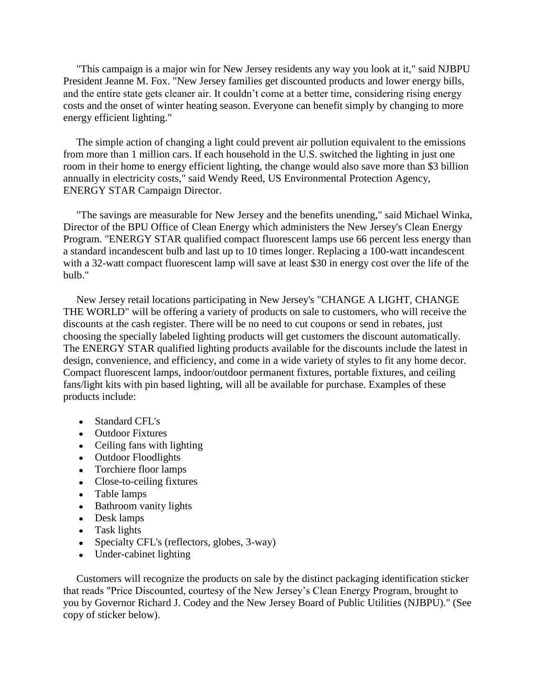"This campaign is a major win for New Jersey residents any way you look at it," said NJBPU President Jeanne M. Fox. "New Jersey families get discounted products and lower energy bills, and the entire state gets cleaner air. It couldn't come at a better time, considering rising energy costs and the onset of winter heating season. Everyone can benefit simply by changing to more energy efficient lighting."

 The simple action of changing a light could prevent air pollution equivalent to the emissions from more than 1 million cars. If each household in the U.S. switched the lighting in just one room in their home to energy efficient lighting, the change would also save more than \$3 billion annually in electricity costs," said Wendy Reed, US Environmental Protection Agency, ENERGY STAR Campaign Director.

 "The savings are measurable for New Jersey and the benefits unending," said Michael Winka, Director of the BPU Office of Clean Energy which administers the New Jersey's Clean Energy Program. "ENERGY STAR qualified compact fluorescent lamps use 66 percent less energy than a standard incandescent bulb and last up to 10 times longer. Replacing a 100-watt incandescent with a 32-watt compact fluorescent lamp will save at least \$30 in energy cost over the life of the bulb."

 New Jersey retail locations participating in New Jersey's "CHANGE A LIGHT, CHANGE THE WORLD" will be offering a variety of products on sale to customers, who will receive the discounts at the cash register. There will be no need to cut coupons or send in rebates, just choosing the specially labeled lighting products will get customers the discount automatically. The ENERGY STAR qualified lighting products available for the discounts include the latest in design, convenience, and efficiency, and come in a wide variety of styles to fit any home decor. Compact fluorescent lamps, indoor/outdoor permanent fixtures, portable fixtures, and ceiling fans/light kits with pin based lighting, will all be available for purchase. Examples of these products include:

- Standard CFL's
- Outdoor Fixtures
- Ceiling fans with lighting
- Outdoor Floodlights
- Torchiere floor lamps
- Close-to-ceiling fixtures
- Table lamps
- Bathroom vanity lights
- Desk lamps
- Task lights
- Specialty CFL's (reflectors, globes, 3-way)
- Under-cabinet lighting

 Customers will recognize the products on sale by the distinct packaging identification sticker that reads "Price Discounted, courtesy of the New Jersey's Clean Energy Program, brought to you by Governor Richard J. Codey and the New Jersey Board of Public Utilities (NJBPU)." (See copy of sticker below).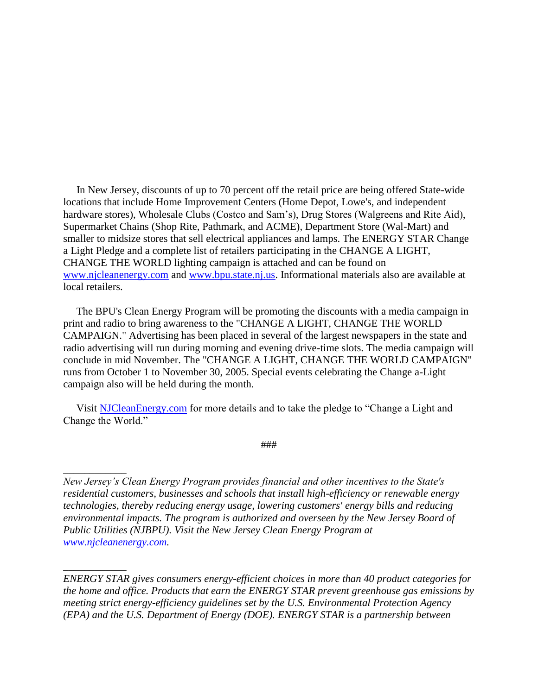In New Jersey, discounts of up to 70 percent off the retail price are being offered State-wide locations that include Home Improvement Centers (Home Depot, Lowe's, and independent hardware stores), Wholesale Clubs (Costco and Sam's), Drug Stores (Walgreens and Rite Aid), Supermarket Chains (Shop Rite, Pathmark, and ACME), Department Store (Wal-Mart) and smaller to midsize stores that sell electrical appliances and lamps. The ENERGY STAR Change a Light Pledge and a complete list of retailers participating in the CHANGE A LIGHT, CHANGE THE WORLD lighting campaign is attached and can be found on [www.njcleanenergy.com](http://www.njcleanenergy.com/) and [www.bpu.state.nj.us.](http://www.bpu.state.nj.us/) Informational materials also are available at local retailers.

 The BPU's Clean Energy Program will be promoting the discounts with a media campaign in print and radio to bring awareness to the "CHANGE A LIGHT, CHANGE THE WORLD CAMPAIGN." Advertising has been placed in several of the largest newspapers in the state and radio advertising will run during morning and evening drive-time slots. The media campaign will conclude in mid November. The "CHANGE A LIGHT, CHANGE THE WORLD CAMPAIGN" runs from October 1 to November 30, 2005. Special events celebrating the Change a-Light campaign also will be held during the month.

Visit [NJCleanEnergy.com](http://www.njcleanenergy.com/) for more details and to take the pledge to "Change a Light and Change the World."

*\_\_\_\_\_\_\_\_\_\_\_\_*

*\_\_\_\_\_\_\_\_\_\_\_\_*

###

*ENERGY STAR gives consumers energy-efficient choices in more than 40 product categories for the home and office. Products that earn the ENERGY STAR prevent greenhouse gas emissions by meeting strict energy-efficiency guidelines set by the U.S. Environmental Protection Agency (EPA) and the U.S. Department of Energy (DOE). ENERGY STAR is a partnership between* 

*New Jersey's Clean Energy Program provides financial and other incentives to the State's residential customers, businesses and schools that install high-efficiency or renewable energy technologies, thereby reducing energy usage, lowering customers' energy bills and reducing environmental impacts. The program is authorized and overseen by the New Jersey Board of Public Utilities (NJBPU). Visit the New Jersey Clean Energy Program at [www.njcleanenergy.com.](http://www.njcleanenergy.com/)*